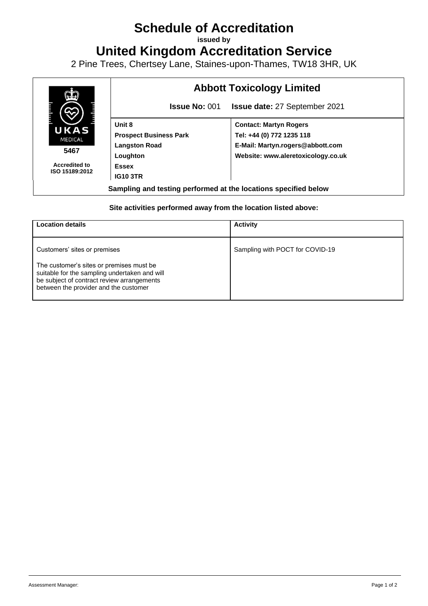## **Schedule of Accreditation**

**issued by**

**United Kingdom Accreditation Service**

2 Pine Trees, Chertsey Lane, Staines-upon-Thames, TW18 3HR, UK



## **Site activities performed away from the location listed above:**

| <b>Location details</b>                                                                                                                                                                                          | <b>Activity</b>                 |
|------------------------------------------------------------------------------------------------------------------------------------------------------------------------------------------------------------------|---------------------------------|
| Customers' sites or premises<br>The customer's sites or premises must be<br>suitable for the sampling undertaken and will<br>be subject of contract review arrangements<br>between the provider and the customer | Sampling with POCT for COVID-19 |